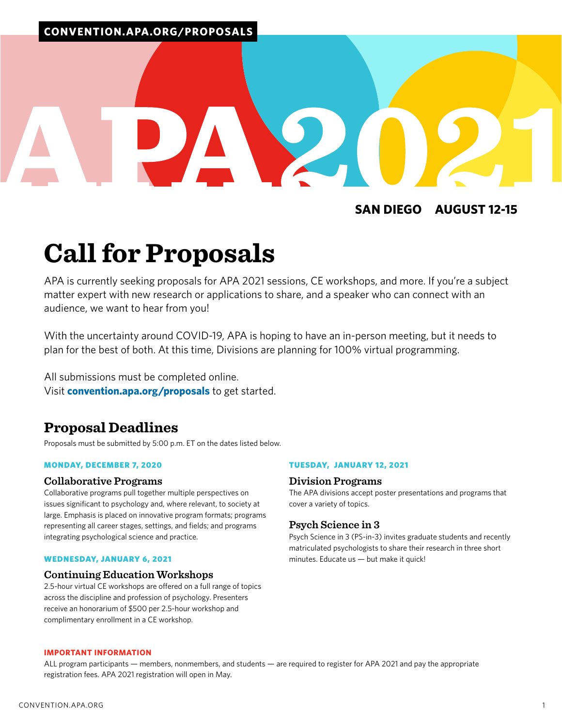### **SAN DIEGO AUGUST 12-15**

# **Call for Proposals**

APA is currently seeking proposals for APA 2021 sessions, CE workshops, and more. If you're a subject matter expert with new research or applications to share, and a speaker who can connect with an audience, we want to hear from you!

With the uncertainty around COVID-19, APA is hoping to have an in-person meeting, but it needs to plan for the best of both. At this time, Divisions are planning for 100% virtual programming.

All submissions must be completed online. Visit **[convention.apa.org/proposals](https://convention.apa.org/proposals)** to get started.

### **Proposal Deadlines**

Proposals must be submitted by 5:00 p.m. ET on the dates listed below.

### MONDAY, DECEMBER 7, 2020

### **Collaborative Programs**

Collaborative programs pull together multiple perspectives on issues significant to psychology and, where relevant, to society at large. Emphasis is placed on innovative program formats; programs representing all career stages, settings, and fields; and programs integrating psychological science and practice.

### WEDNESDAY, JANUARY 6, 2021

### **Continuing Education Workshops**

2.5-hour virtual CE workshops are offered on a full range of topics across the discipline and profession of psychology. Presenters receive an honorarium of \$500 per 2.5-hour workshop and complimentary enrollment in a CE workshop.

### TUESDAY, JANUARY 12, 2021

### **Division Programs**

The APA divisions accept poster presentations and programs that cover a variety of topics.

### **Psych Science in 3**

Psych Science in 3 (PS-in-3) invites graduate students and recently matriculated psychologists to share their research in three short minutes. Educate us — but make it quick!

### **IMPORTANT INFORMATION**

ALL program participants — members, nonmembers, and students — are required to register for APA 2021 and pay the appropriate registration fees. APA 2021 registration will open in May.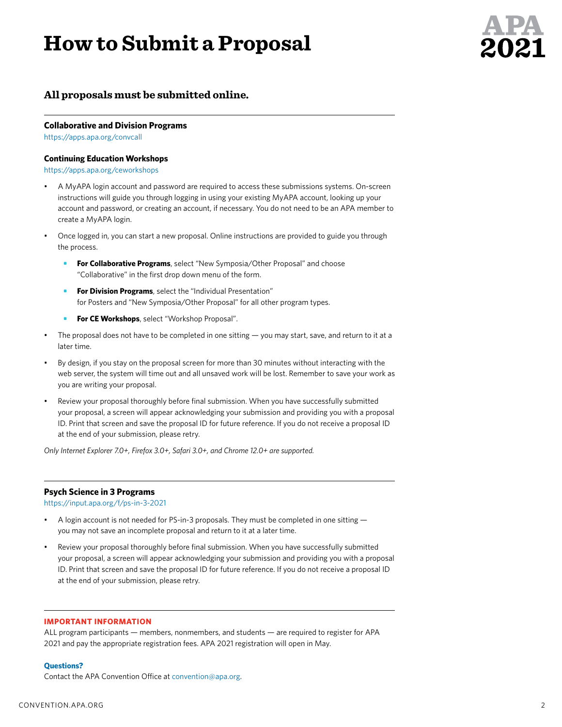# **How to Submit a Proposal**



### **All proposals must be submitted online.**

### **Collaborative and Division Programs**

<https://apps.apa.org/convcall>

### **Continuing Education Workshops**

<https://apps.apa.org/ceworkshops>

- A MyAPA login account and password are required to access these submissions systems. On-screen instructions will guide you through logging in using your existing MyAPA account, looking up your account and password, or creating an account, if necessary. You do not need to be an APA member to create a MyAPA login.
- Once logged in, you can start a new proposal. Online instructions are provided to guide you through the process.
	- **• For Collaborative Programs**, select "New Symposia/Other Proposal" and choose "Collaborative" in the first drop down menu of the form.
	- **• For Division Programs**, select the "Individual Presentation" for Posters and "New Symposia/Other Proposal" for all other program types.
	- **• For CE Workshops**, select "Workshop Proposal".
- The proposal does not have to be completed in one sitting  $-$  you may start, save, and return to it at a later time.
- By design, if you stay on the proposal screen for more than 30 minutes without interacting with the web server, the system will time out and all unsaved work will be lost. Remember to save your work as you are writing your proposal.
- Review your proposal thoroughly before final submission. When you have successfully submitted your proposal, a screen will appear acknowledging your submission and providing you with a proposal ID. Print that screen and save the proposal ID for future reference. If you do not receive a proposal ID at the end of your submission, please retry.

*Only Internet Explorer 7.0+, Firefox 3.0+, Safari 3.0+, and Chrome 12.0+ are supported.*

### **Psych Science in 3 Programs**

<https://input.apa.org/f/ps-in-3-2021>

- A login account is not needed for PS-in-3 proposals. They must be completed in one sitting  $$ you may not save an incomplete proposal and return to it at a later time.
- Review your proposal thoroughly before final submission. When you have successfully submitted your proposal, a screen will appear acknowledging your submission and providing you with a proposal ID. Print that screen and save the proposal ID for future reference. If you do not receive a proposal ID at the end of your submission, please retry.

### **IMPORTANT INFORMATION**

ALL program participants — members, nonmembers, and students — are required to register for APA 2021 and pay the appropriate registration fees. APA 2021 registration will open in May.

### **Questions?**

Contact the APA Convention Office at [convention@apa.org.](mailto:convention%40apa.org?subject=)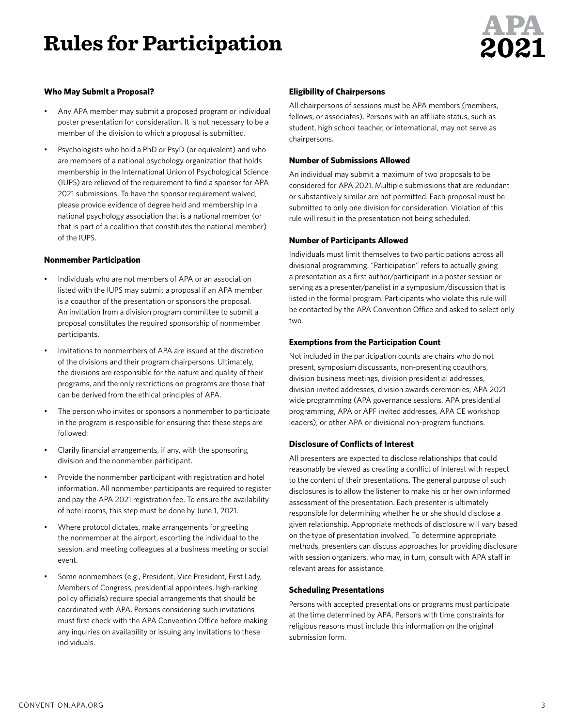# **Rules for Participation**



### **Who May Submit a Proposal?**

- Any APA member may submit a proposed program or individual poster presentation for consideration. It is not necessary to be a member of the division to which a proposal is submitted.
- Psychologists who hold a PhD or PsyD (or equivalent) and who are members of a national psychology organization that holds membership in the International Union of Psychological Science (IUPS) are relieved of the requirement to find a sponsor for APA 2021 submissions. To have the sponsor requirement waived, please provide evidence of degree held and membership in a national psychology association that is a national member (or that is part of a coalition that constitutes the national member) of the IUPS.

### **Nonmember Participation**

- Individuals who are not members of APA or an association listed with the IUPS may submit a proposal if an APA member is a coauthor of the presentation or sponsors the proposal. An invitation from a division program committee to submit a proposal constitutes the required sponsorship of nonmember participants.
- Invitations to nonmembers of APA are issued at the discretion of the divisions and their program chairpersons. Ultimately, the divisions are responsible for the nature and quality of their programs, and the only restrictions on programs are those that can be derived from the ethical principles of APA.
- The person who invites or sponsors a nonmember to participate in the program is responsible for ensuring that these steps are followed:
- Clarify financial arrangements, if any, with the sponsoring division and the nonmember participant.
- Provide the nonmember participant with registration and hotel information. All nonmember participants are required to register and pay the APA 2021 registration fee. To ensure the availability of hotel rooms, this step must be done by June 1, 2021.
- Where protocol dictates, make arrangements for greeting the nonmember at the airport, escorting the individual to the session, and meeting colleagues at a business meeting or social event.
- Some nonmembers (e.g., President, Vice President, First Lady, Members of Congress, presidential appointees, high-ranking policy officials) require special arrangements that should be coordinated with APA. Persons considering such invitations must first check with the APA Convention Office before making any inquiries on availability or issuing any invitations to these individuals.

### **Eligibility of Chairpersons**

All chairpersons of sessions must be APA members (members, fellows, or associates). Persons with an affiliate status, such as student, high school teacher, or international, may not serve as chairpersons.

### **Number of Submissions Allowed**

An individual may submit a maximum of two proposals to be considered for APA 2021. Multiple submissions that are redundant or substantively similar are not permitted. Each proposal must be submitted to only one division for consideration. Violation of this rule will result in the presentation not being scheduled.

### **Number of Participants Allowed**

Individuals must limit themselves to two participations across all divisional programming. "Participation" refers to actually giving a presentation as a first author/participant in a poster session or serving as a presenter/panelist in a symposium/discussion that is listed in the formal program. Participants who violate this rule will be contacted by the APA Convention Office and asked to select only two.

### **Exemptions from the Participation Count**

Not included in the participation counts are chairs who do not present, symposium discussants, non-presenting coauthors, division business meetings, division presidential addresses, division invited addresses, division awards ceremonies, APA 2021 wide programming (APA governance sessions, APA presidential programming, APA or APF invited addresses, APA CE workshop leaders), or other APA or divisional non-program functions.

### **Disclosure of Conflicts of Interest**

All presenters are expected to disclose relationships that could reasonably be viewed as creating a conflict of interest with respect to the content of their presentations. The general purpose of such disclosures is to allow the listener to make his or her own informed assessment of the presentation. Each presenter is ultimately responsible for determining whether he or she should disclose a given relationship. Appropriate methods of disclosure will vary based on the type of presentation involved. To determine appropriate methods, presenters can discuss approaches for providing disclosure with session organizers, who may, in turn, consult with APA staff in relevant areas for assistance.

### **Scheduling Presentations**

Persons with accepted presentations or programs must participate at the time determined by APA. Persons with time constraints for religious reasons must include this information on the original submission form.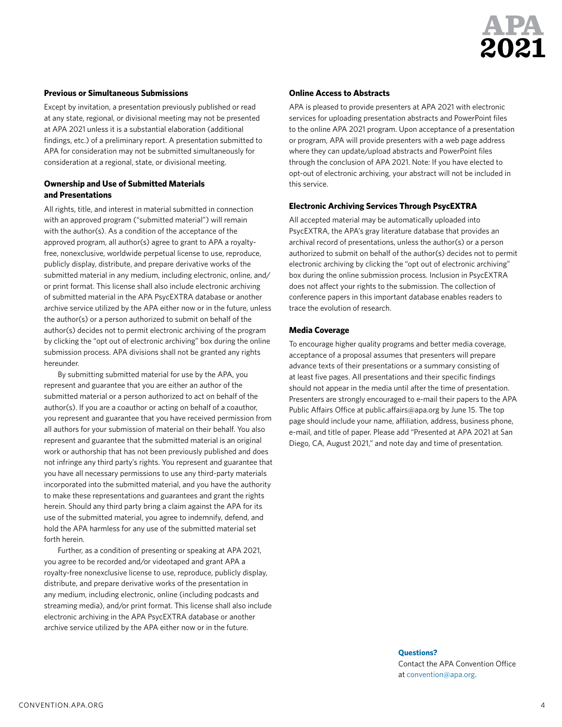

### **Previous or Simultaneous Submissions**

Except by invitation, a presentation previously published or read at any state, regional, or divisional meeting may not be presented at APA 2021 unless it is a substantial elaboration (additional findings, etc.) of a preliminary report. A presentation submitted to APA for consideration may not be submitted simultaneously for consideration at a regional, state, or divisional meeting.

### **Ownership and Use of Submitted Materials and Presentations**

All rights, title, and interest in material submitted in connection with an approved program ("submitted material") will remain with the author(s). As a condition of the acceptance of the approved program, all author(s) agree to grant to APA a royaltyfree, nonexclusive, worldwide perpetual license to use, reproduce, publicly display, distribute, and prepare derivative works of the submitted material in any medium, including electronic, online, and/ or print format. This license shall also include electronic archiving of submitted material in the APA PsycEXTRA database or another archive service utilized by the APA either now or in the future, unless the author(s) or a person authorized to submit on behalf of the author(s) decides not to permit electronic archiving of the program by clicking the "opt out of electronic archiving" box during the online submission process. APA divisions shall not be granted any rights hereunder.

By submitting submitted material for use by the APA, you represent and guarantee that you are either an author of the submitted material or a person authorized to act on behalf of the author(s). If you are a coauthor or acting on behalf of a coauthor, you represent and guarantee that you have received permission from all authors for your submission of material on their behalf. You also represent and guarantee that the submitted material is an original work or authorship that has not been previously published and does not infringe any third party's rights. You represent and guarantee that you have all necessary permissions to use any third-party materials incorporated into the submitted material, and you have the authority to make these representations and guarantees and grant the rights herein. Should any third party bring a claim against the APA for its use of the submitted material, you agree to indemnify, defend, and hold the APA harmless for any use of the submitted material set forth herein.

Further, as a condition of presenting or speaking at APA 2021, you agree to be recorded and/or videotaped and grant APA a royalty-free nonexclusive license to use, reproduce, publicly display, distribute, and prepare derivative works of the presentation in any medium, including electronic, online (including podcasts and streaming media), and/or print format. This license shall also include electronic archiving in the APA PsycEXTRA database or another archive service utilized by the APA either now or in the future.

### **Online Access to Abstracts**

APA is pleased to provide presenters at APA 2021 with electronic services for uploading presentation abstracts and PowerPoint files to the online APA 2021 program. Upon acceptance of a presentation or program, APA will provide presenters with a web page address where they can update/upload abstracts and PowerPoint files through the conclusion of APA 2021. Note: If you have elected to opt-out of electronic archiving, your abstract will not be included in this service.

### **Electronic Archiving Services Through PsycEXTRA**

All accepted material may be automatically uploaded into PsycEXTRA, the APA's gray literature database that provides an archival record of presentations, unless the author(s) or a person authorized to submit on behalf of the author(s) decides not to permit electronic archiving by clicking the "opt out of electronic archiving" box during the online submission process. Inclusion in PsycEXTRA does not affect your rights to the submission. The collection of conference papers in this important database enables readers to trace the evolution of research.

#### **Media Coverage**

To encourage higher quality programs and better media coverage, acceptance of a proposal assumes that presenters will prepare advance texts of their presentations or a summary consisting of at least five pages. All presentations and their specific findings should not appear in the media until after the time of presentation. Presenters are strongly encouraged to e-mail their papers to the APA Public Affairs Office at public.affairs@apa.org by June 15. The top page should include your name, affiliation, address, business phone, e-mail, and title of paper. Please add "Presented at APA 2021 at San Diego, CA, August 2021," and note day and time of presentation.

> **Questions?**  Contact the APA Convention Office at [convention@apa.org.](mailto:convention%40apa.org?subject=)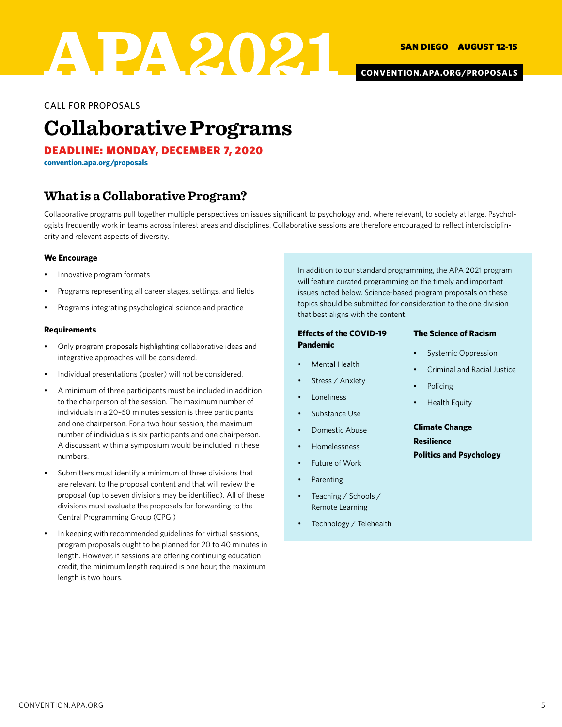

**[CONVENTION.APA.ORG/PROPOSALS](https://convention.apa.org/proposals)**

CALL FOR PROPOSALS

### **Collaborative Programs**

DEADLINE: MONDAY, DECEMBER 7, 2020

**[convention.apa.org/proposals](https://convention.apa.org/proposals)**

### **What is a Collaborative Program?**

Collaborative programs pull together multiple perspectives on issues significant to psychology and, where relevant, to society at large. Psychologists frequently work in teams across interest areas and disciplines. Collaborative sessions are therefore encouraged to reflect interdisciplinarity and relevant aspects of diversity.

### **We Encourage**

- Innovative program formats
- Programs representing all career stages, settings, and fields
- Programs integrating psychological science and practice

### **Requirements**

- Only program proposals highlighting collaborative ideas and integrative approaches will be considered.
- Individual presentations (poster) will not be considered.
- A minimum of three participants must be included in addition to the chairperson of the session. The maximum number of individuals in a 20-60 minutes session is three participants and one chairperson. For a two hour session, the maximum number of individuals is six participants and one chairperson. A discussant within a symposium would be included in these numbers.
- Submitters must identify a minimum of three divisions that are relevant to the proposal content and that will review the proposal (up to seven divisions may be identified). All of these divisions must evaluate the proposals for forwarding to the Central Programming Group (CPG.)
- In keeping with recommended guidelines for virtual sessions, program proposals ought to be planned for 20 to 40 minutes in length. However, if sessions are offering continuing education credit, the minimum length required is one hour; the maximum length is two hours.

In addition to our standard programming, the APA 2021 program will feature curated programming on the timely and important issues noted below. Science-based program proposals on these topics should be submitted for consideration to the one division that best aligns with the content.

### **Effects of the COVID-19 Pandemic**

- Mental Health
- Stress / Anxiety
- **Loneliness**
- Substance Use
- Domestic Abuse
- Homelessness
- Future of Work
- **Parenting**
- Teaching / Schools / Remote Learning
- Technology / Telehealth

### **The Science of Racism**

- Systemic Oppression
- Criminal and Racial Justice
- **Policing**
- Health Equity

**Climate Change Resilience Politics and Psychology**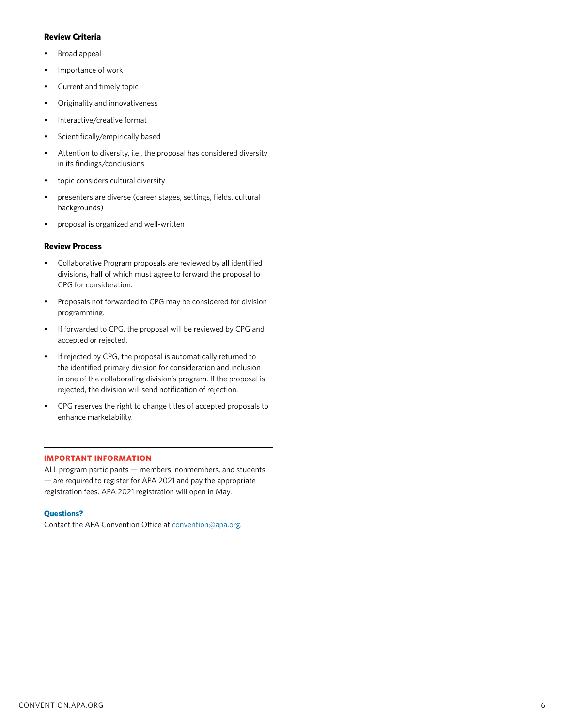### **Review Criteria**

- Broad appeal
- Importance of work
- Current and timely topic
- Originality and innovativeness
- Interactive/creative format
- Scientifically/empirically based
- Attention to diversity, i.e., the proposal has considered diversity in its findings/conclusions
- topic considers cultural diversity
- presenters are diverse (career stages, settings, fields, cultural backgrounds)
- proposal is organized and well-written

### **Review Process**

- Collaborative Program proposals are reviewed by all identified divisions, half of which must agree to forward the proposal to CPG for consideration.
- Proposals not forwarded to CPG may be considered for division programming.
- If forwarded to CPG, the proposal will be reviewed by CPG and accepted or rejected.
- If rejected by CPG, the proposal is automatically returned to the identified primary division for consideration and inclusion in one of the collaborating division's program. If the proposal is rejected, the division will send notification of rejection.
- CPG reserves the right to change titles of accepted proposals to enhance marketability.

### **IMPORTANT INFORMATION**

ALL program participants — members, nonmembers, and students — are required to register for APA 2021 and pay the appropriate registration fees. APA 2021 registration will open in May.

### **Questions?**

Contact the APA Convention Office at [convention@apa.org.](mailto:convention%40apa.org?subject=)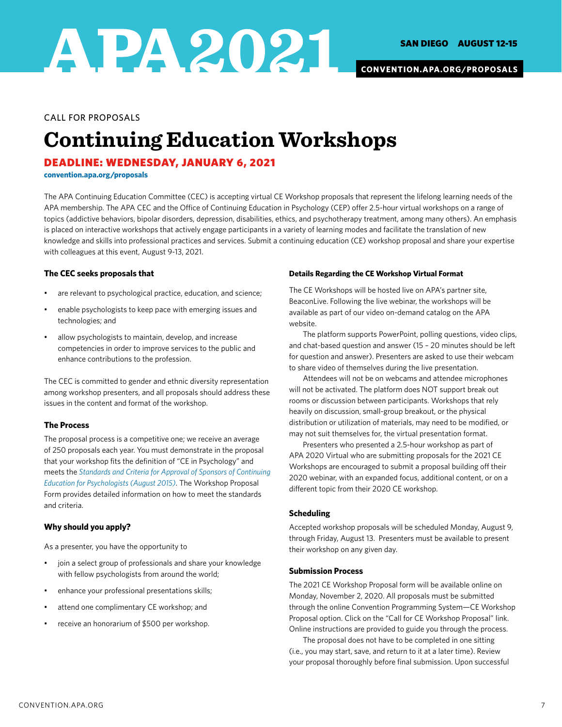

### CALL FOR PROPOSALS

# **Continuing Education Workshops**

### DEADLINE: WEDNESDAY, JANUARY 6, 2021

**[convention.apa.org/proposals](https://convention.apa.org/proposals)**

The APA Continuing Education Committee (CEC) is accepting virtual CE Workshop proposals that represent the lifelong learning needs of the APA membership. The APA CEC and the Office of Continuing Education in Psychology (CEP) offer 2.5-hour virtual workshops on a range of topics (addictive behaviors, bipolar disorders, depression, disabilities, ethics, and psychotherapy treatment, among many others). An emphasis is placed on interactive workshops that actively engage participants in a variety of learning modes and facilitate the translation of new knowledge and skills into professional practices and services. Submit a continuing education (CE) workshop proposal and share your expertise with colleagues at this event, August 9-13, 2021.

### **The CEC seeks proposals that**

- are relevant to psychological practice, education, and science;
- enable psychologists to keep pace with emerging issues and technologies; and
- allow psychologists to maintain, develop, and increase competencies in order to improve services to the public and enhance contributions to the profession.

The CEC is committed to gender and ethnic diversity representation among workshop presenters, and all proposals should address these issues in the content and format of the workshop.

### **The Process**

The proposal process is a competitive one; we receive an average of 250 proposals each year. You must demonstrate in the proposal that your workshop fits the definition of "CE in Psychology" and meets the *[Standards and Criteria for Approval of Sponsors of Continuing](https://www.apa.org/about/policy/approval-standards.pdf)  [Education for Psychologists \(August 2015\)](https://www.apa.org/about/policy/approval-standards.pdf)*. The Workshop Proposal Form provides detailed information on how to meet the standards and criteria.

### **Why should you apply?**

As a presenter, you have the opportunity to

- join a select group of professionals and share your knowledge with fellow psychologists from around the world;
- enhance your professional presentations skills;
- attend one complimentary CE workshop; and
- receive an honorarium of \$500 per workshop.

### **Details Regarding the CE Workshop Virtual Format**

The CE Workshops will be hosted live on APA's partner site, BeaconLive. Following the live webinar, the workshops will be available as part of our video on-demand catalog on the APA website.

The platform supports PowerPoint, polling questions, video clips, and chat-based question and answer (15 – 20 minutes should be left for question and answer). Presenters are asked to use their webcam to share video of themselves during the live presentation.

Attendees will not be on webcams and attendee microphones will not be activated. The platform does NOT support break out rooms or discussion between participants. Workshops that rely heavily on discussion, small-group breakout, or the physical distribution or utilization of materials, may need to be modified, or may not suit themselves for, the virtual presentation format.

Presenters who presented a 2.5-hour workshop as part of APA 2020 Virtual who are submitting proposals for the 2021 CE Workshops are encouraged to submit a proposal building off their 2020 webinar, with an expanded focus, additional content, or on a different topic from their 2020 CE workshop.

### **Scheduling**

Accepted workshop proposals will be scheduled Monday, August 9, through Friday, August 13. Presenters must be available to present their workshop on any given day.

### **Submission Process**

The 2021 CE Workshop Proposal form will be available online on Monday, November 2, 2020. All proposals must be submitted through the online Convention Programming System—CE Workshop Proposal option. Click on the "Call for CE Workshop Proposal" link. Online instructions are provided to guide you through the process.

The proposal does not have to be completed in one sitting (i.e., you may start, save, and return to it at a later time). Review your proposal thoroughly before final submission. Upon successful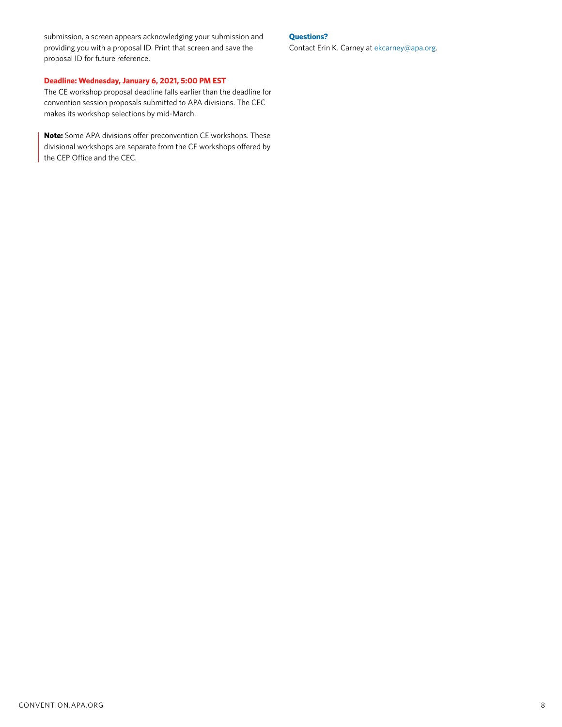submission, a screen appears acknowledging your submission and providing you with a proposal ID. Print that screen and save the proposal ID for future reference.

### **Deadline: Wednesday, January 6, 2021, 5:00 PM EST**

The CE workshop proposal deadline falls earlier than the deadline for convention session proposals submitted to APA divisions. The CEC makes its workshop selections by mid-March.

**Note:** Some APA divisions offer preconvention CE workshops. These divisional workshops are separate from the CE workshops offered by the CEP Office and the CEC.

#### **Questions?**

Contact Erin K. Carney at [ekcarney@apa.org.](mailto:ekcarney%40apa.org?subject=)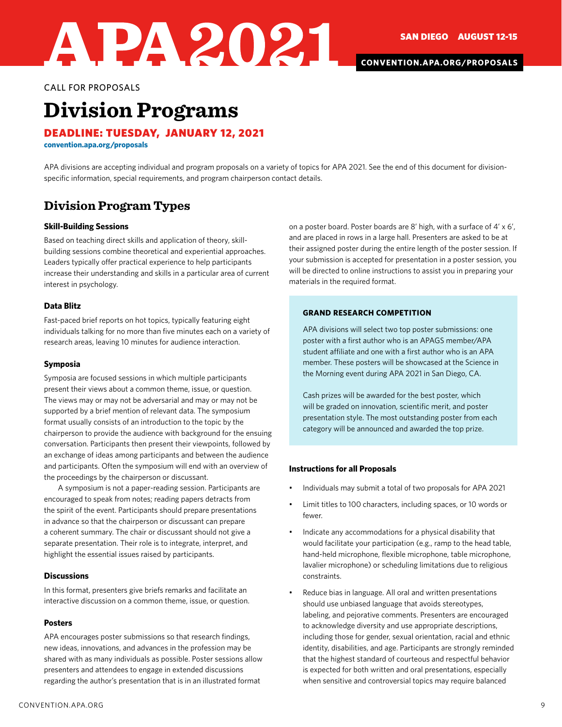**[CONVENTION.APA.ORG/PROPOSALS](https://convention.apa.org/proposals)**

CALL FOR PROPOSALS

## **Division Programs**

DEADLINE: TUESDAY, JANUARY 12, 2021

APA2021

**[convention.apa.org/proposals](https://convention.apa.org/proposals)**

APA divisions are accepting individual and program proposals on a variety of topics for APA 2021. See the end of this document for divisionspecific information, special requirements, and program chairperson contact details.

### **Division Program Types**

### **Skill-Building Sessions**

Based on teaching direct skills and application of theory, skillbuilding sessions combine theoretical and experiential approaches. Leaders typically offer practical experience to help participants increase their understanding and skills in a particular area of current interest in psychology.

### **Data Blitz**

Fast-paced brief reports on hot topics, typically featuring eight individuals talking for no more than five minutes each on a variety of research areas, leaving 10 minutes for audience interaction.

#### **Symposia**

Symposia are focused sessions in which multiple participants present their views about a common theme, issue, or question. The views may or may not be adversarial and may or may not be supported by a brief mention of relevant data. The symposium format usually consists of an introduction to the topic by the chairperson to provide the audience with background for the ensuing conversation. Participants then present their viewpoints, followed by an exchange of ideas among participants and between the audience and participants. Often the symposium will end with an overview of the proceedings by the chairperson or discussant.

A symposium is not a paper-reading session. Participants are encouraged to speak from notes; reading papers detracts from the spirit of the event. Participants should prepare presentations in advance so that the chairperson or discussant can prepare a coherent summary. The chair or discussant should not give a separate presentation. Their role is to integrate, interpret, and highlight the essential issues raised by participants.

### **Discussions**

In this format, presenters give briefs remarks and facilitate an interactive discussion on a common theme, issue, or question.

### **Posters**

APA encourages poster submissions so that research findings, new ideas, innovations, and advances in the profession may be shared with as many individuals as possible. Poster sessions allow presenters and attendees to engage in extended discussions regarding the author's presentation that is in an illustrated format

on a poster board. Poster boards are 8' high, with a surface of 4' x 6', and are placed in rows in a large hall. Presenters are asked to be at their assigned poster during the entire length of the poster session. If your submission is accepted for presentation in a poster session, you will be directed to online instructions to assist you in preparing your materials in the required format.

### **GRAND RESEARCH COMPETITION**

APA divisions will select two top poster submissions: one poster with a first author who is an APAGS member/APA student affiliate and one with a first author who is an APA member. These posters will be showcased at the Science in the Morning event during APA 2021 in San Diego, CA.

Cash prizes will be awarded for the best poster, which will be graded on innovation, scientific merit, and poster presentation style. The most outstanding poster from each category will be announced and awarded the top prize.

### **Instructions for all Proposals**

- Individuals may submit a total of two proposals for APA 2021
- Limit titles to 100 characters, including spaces, or 10 words or fewer.
- Indicate any accommodations for a physical disability that would facilitate your participation (e.g., ramp to the head table, hand-held microphone, flexible microphone, table microphone, lavalier microphone) or scheduling limitations due to religious constraints.
- Reduce bias in language. All oral and written presentations should use unbiased language that avoids stereotypes, labeling, and pejorative comments. Presenters are encouraged to acknowledge diversity and use appropriate descriptions, including those for gender, sexual orientation, racial and ethnic identity, disabilities, and age. Participants are strongly reminded that the highest standard of courteous and respectful behavior is expected for both written and oral presentations, especially when sensitive and controversial topics may require balanced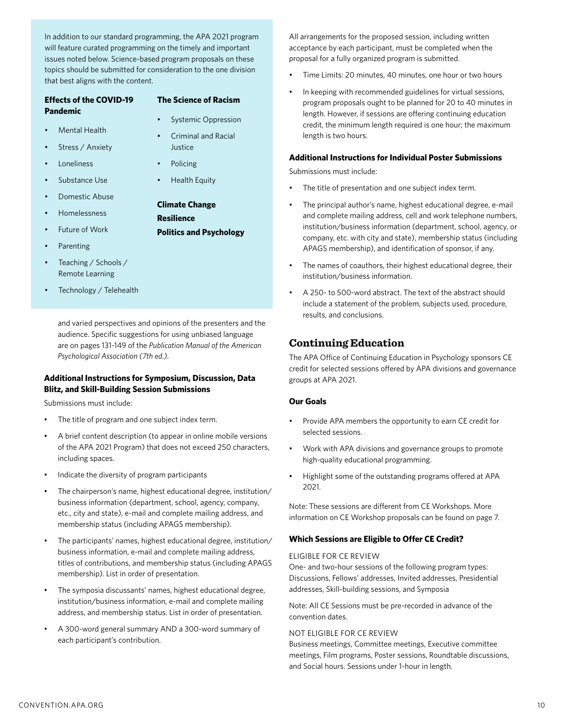In addition to our standard programming, the APA 2021 program will feature curated programming on the timely and important issues noted below. Science-based program proposals on these topics should be submitted for consideration to the one division that best aligns with the content.

| <b>Effects of the COVID-19</b> |                       | <b>The Science of Racism</b> |                                            |  |
|--------------------------------|-----------------------|------------------------------|--------------------------------------------|--|
| Pandemic                       |                       | ٠                            | <b>Systemic Oppression</b>                 |  |
| Mental Health                  |                       | $\bullet$                    | Criminal and Racial                        |  |
| ٠                              | Stress / Anxiety      |                              | Justice                                    |  |
| <b>Loneliness</b>              |                       | $\bullet$                    | Policing                                   |  |
| Substance Use                  |                       | $\bullet$                    | Health Equity                              |  |
|                                | Domestic Abuse        |                              |                                            |  |
|                                | <b>Homelessness</b>   |                              | <b>Climate Change</b><br><b>Resilience</b> |  |
|                                | <b>Future of Work</b> |                              | <b>Politics and Psychology</b>             |  |
| Parenting                      |                       |                              |                                            |  |

- Teaching / Schools / Remote Learning
- Technology / Telehealth

and varied perspectives and opinions of the presenters and the audience. Specific suggestions for using unbiased language are on pages 131-149 of the *Publication Manual of the American Psychological Association (7th ed.)*.

### **Additional Instructions for Symposium, Discussion, Data Blitz, and Skill-Building Session Submissions**

Submissions must include:

- The title of program and one subject index term.
- A brief content description (to appear in online mobile versions of the APA 2021 Program) that does not exceed 250 characters, including spaces.
- Indicate the diversity of program participants
- The chairperson's name, highest educational degree, institution/ business information (department, school, agency, company, etc., city and state), e-mail and complete mailing address, and membership status (including APAGS membership).
- The participants' names, highest educational degree, institution/ business information, e-mail and complete mailing address, titles of contributions, and membership status (including APAGS membership). List in order of presentation.
- The symposia discussants' names, highest educational degree, institution/business information, e-mail and complete mailing address, and membership status. List in order of presentation.
- A 300-word general summary AND a 300-word summary of each participant's contribution.

All arrangements for the proposed session, including written acceptance by each participant, must be completed when the proposal for a fully organized program is submitted.

- Time Limits: 20 minutes, 40 minutes, one hour or two hours
- In keeping with recommended guidelines for virtual sessions, program proposals ought to be planned for 20 to 40 minutes in length. However, if sessions are offering continuing education credit, the minimum length required is one hour; the maximum length is two hours.

### **Additional Instructions for Individual Poster Submissions**

Submissions must include:

- The title of presentation and one subject index term.
- The principal author's name, highest educational degree, e-mail and complete mailing address, cell and work telephone numbers, institution/business information (department, school, agency, or company, etc. with city and state), membership status (including APAGS membership), and identification of sponsor, if any.
- The names of coauthors, their highest educational degree, their institution/business information.
- A 250- to 500-word abstract. The text of the abstract should include a statement of the problem, subjects used, procedure, results, and conclusions.

### **Continuing Education**

The APA Office of Continuing Education in Psychology sponsors CE credit for selected sessions offered by APA divisions and governance groups at APA 2021.

### **Our Goals**

- Provide APA members the opportunity to earn CE credit for selected sessions.
- Work with APA divisions and governance groups to promote high-quality educational programming.
- Highlight some of the outstanding programs offered at APA 2021.

Note: These sessions are different from CE Workshops. More information on CE Workshop proposals can be found on page 7.

### **Which Sessions are Eligible to Offer CE Credit?**

### ELIGIBLE FOR CE REVIEW

One- and two-hour sessions of the following program types: Discussions, Fellows' addresses, Invited addresses, Presidential addresses, Skill-building sessions, and Symposia

Note: All CE Sessions must be pre-recorded in advance of the convention dates.

### NOT ELIGIBLE FOR CE REVIEW

Business meetings, Committee meetings, Executive committee meetings, Film programs, Poster sessions, Roundtable discussions, and Social hours. Sessions under 1-hour in length.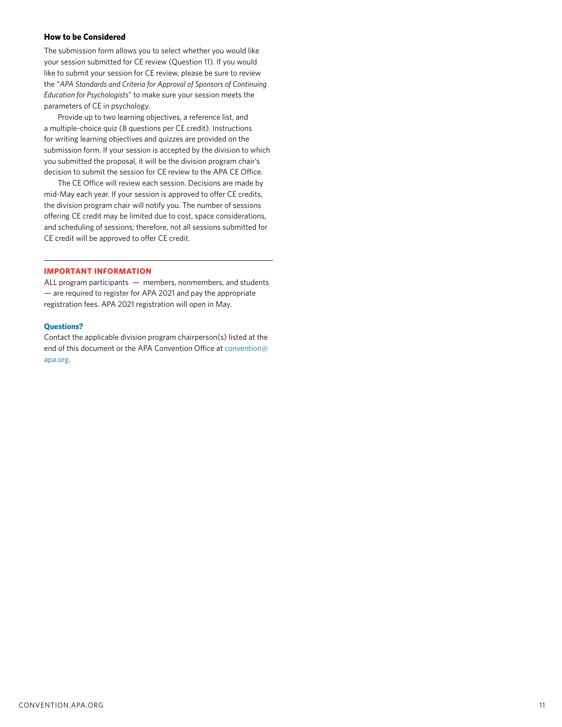### **How to be Considered**

The submission form allows you to select whether you would like your session submitted for CE review (Question 11). If you would like to submit your session for CE review, please be sure to review the "*APA Standards and Criteria for Approval of Sponsors of Continuing Education for Psychologists*" to make sure your session meets the parameters of CE in psychology.

Provide up to two learning objectives, a reference list, and a multiple-choice quiz (8 questions per CE credit). Instructions for writing learning objectives and quizzes are provided on the submission form. If your session is accepted by the division to which you submitted the proposal, it will be the division program chair's decision to submit the session for CE review to the APA CE Office.

The CE Office will review each session. Decisions are made by mid-May each year. If your session is approved to offer CE credits, the division program chair will notify you. The number of sessions offering CE credit may be limited due to cost, space considerations, and scheduling of sessions; therefore, not all sessions submitted for CE credit will be approved to offer CE credit.

#### **IMPORTANT INFORMATION**

ALL program participants — members, nonmembers, and students — are required to register for APA 2021 and pay the appropriate registration fees. APA 2021 registration will open in May.

#### **Questions?**

Contact the applicable division program chairperson(s) listed at the end of this document or the APA Convention Office at [convention@](mailto:convention%40apa.org?subject=) [apa.org.](mailto:convention%40apa.org?subject=)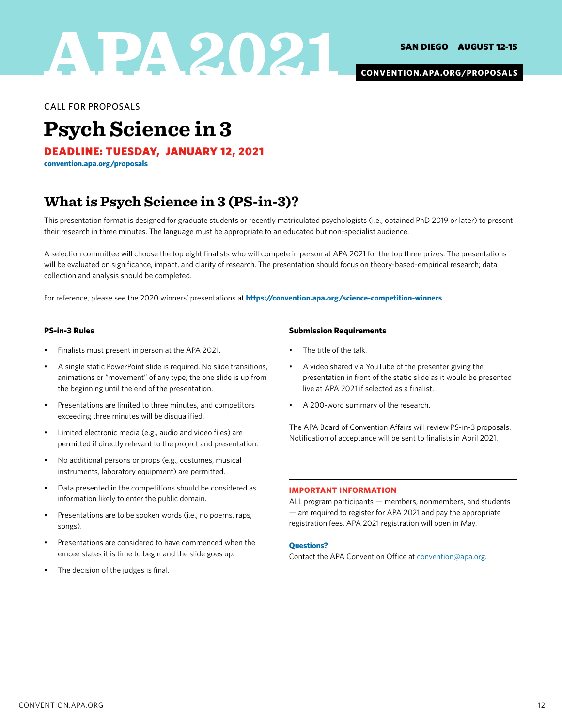

**[CONVENTION.APA.ORG/PROPOSALS](https://convention.apa.org/proposals)**

CALL FOR PROPOSALS

## **Psych Science in 3**

DEADLINE: TUESDAY, JANUARY 12, 2021

**[convention.apa.org/proposals](https://convention.apa.org/proposals)**

### **What is Psych Science in 3 (PS-in-3)?**

This presentation format is designed for graduate students or recently matriculated psychologists (i.e., obtained PhD 2019 or later) to present their research in three minutes. The language must be appropriate to an educated but non-specialist audience.

A selection committee will choose the top eight finalists who will compete in person at APA 2021 for the top three prizes. The presentations will be evaluated on significance, impact, and clarity of research. The presentation should focus on theory-based-empirical research; data collection and analysis should be completed.

For reference, please see the 2020 winners' presentations at **<https://convention.apa.org/science-competition-winners>**.

### **PS-in-3 Rules**

- Finalists must present in person at the APA 2021.
- A single static PowerPoint slide is required. No slide transitions, animations or "movement" of any type; the one slide is up from the beginning until the end of the presentation.
- Presentations are limited to three minutes, and competitors exceeding three minutes will be disqualified.
- Limited electronic media (e.g., audio and video files) are permitted if directly relevant to the project and presentation.
- No additional persons or props (e.g., costumes, musical instruments, laboratory equipment) are permitted.
- Data presented in the competitions should be considered as information likely to enter the public domain.
- Presentations are to be spoken words (i.e., no poems, raps, songs).
- Presentations are considered to have commenced when the emcee states it is time to begin and the slide goes up.
- The decision of the judges is final.

### **Submission Requirements**

- The title of the talk.
- A video shared via YouTube of the presenter giving the presentation in front of the static slide as it would be presented live at APA 2021 if selected as a finalist.
- A 200-word summary of the research.

The APA Board of Convention Affairs will review PS-in-3 proposals. Notification of acceptance will be sent to finalists in April 2021.

### **IMPORTANT INFORMATION**

ALL program participants — members, nonmembers, and students — are required to register for APA 2021 and pay the appropriate registration fees. APA 2021 registration will open in May.

### **Questions?**

Contact the APA Convention Office at [convention@apa.org.](mailto:convention%40apa.org?subject=)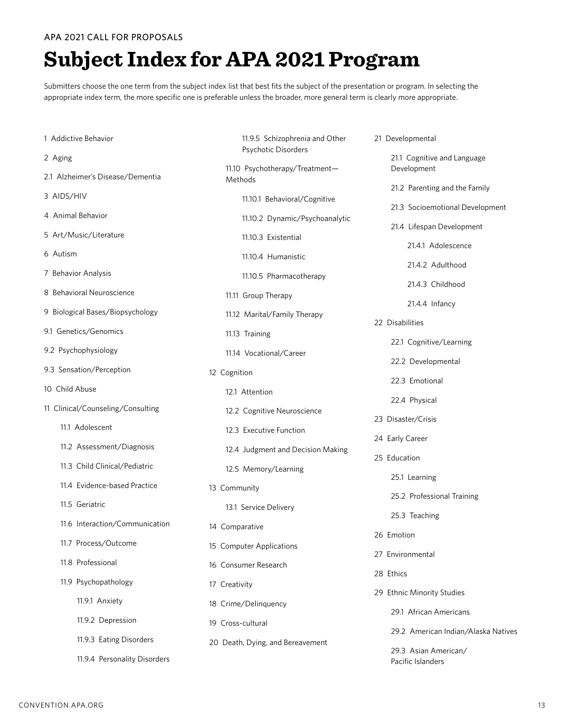### APA 2021 CALL FOR PROPOSALS

# **Subject Index for APA 2021 Program**

Submitters choose the one term from the subject index list that best fits the subject of the presentation or program. In selecting the appropriate index term, the more specific one is preferable unless the broader, more general term is clearly more appropriate.

| 1 Addictive Behavior              | 11.9.5 Schizophrenia and Other<br>Psychotic Disorders        | 21 Developmental                          |
|-----------------------------------|--------------------------------------------------------------|-------------------------------------------|
| 2 Aging                           |                                                              | 21.1 Cognitive and Language               |
| 2.1 Alzheimer's Disease/Dementia  | 11.10 Psychotherapy/Treatment-<br>Methods                    | Development                               |
| 3 AIDS/HIV                        | 11.10.1 Behavioral/Cognitive                                 | 21.2 Parenting and the Family             |
| 4 Animal Behavior                 | 11.10.2 Dynamic/Psychoanalytic                               | 21.3 Socioemotional Development           |
| 5 Art/Music/Literature            |                                                              | 21.4 Lifespan Development                 |
|                                   | 11.10.3 Existential                                          | 21.4.1 Adolescence                        |
| 6 Autism                          | 11.10.4 Humanistic                                           | 21.4.2 Adulthood                          |
| 7 Behavior Analysis               | 11.10.5 Pharmacotherapy                                      | 21.4.3 Childhood                          |
| 8 Behavioral Neuroscience         | 11.11 Group Therapy                                          |                                           |
| 9 Biological Bases/Biopsychology  | 11.12 Marital/Family Therapy                                 | 21.4.4 Infancy                            |
| 9.1 Genetics/Genomics             | 11.13 Training                                               | 22 Disabilities                           |
| 9.2 Psychophysiology              |                                                              | 22.1 Cognitive/Learning                   |
|                                   | 11.14 Vocational/Career                                      | 22.2 Developmental                        |
| 9.3 Sensation/Perception          | 12 Cognition                                                 | 22.3 Emotional                            |
| 10 Child Abuse                    | 12.1 Attention                                               |                                           |
| 11 Clinical/Counseling/Consulting | 12.2 Cognitive Neuroscience                                  | 22.4 Physical                             |
| 11.1 Adolescent                   | 12.3 Executive Function<br>12.4 Judgment and Decision Making | 23 Disaster/Crisis                        |
| 11.2 Assessment/Diagnosis         |                                                              | 24 Early Career                           |
| 11.3 Child Clinical/Pediatric     |                                                              | 25 Education                              |
|                                   | 12.5 Memory/Learning                                         | 25.1 Learning                             |
| 11.4 Evidence-based Practice      | 13 Community                                                 | 25.2 Professional Training                |
| 11.5 Geriatric                    | 13.1 Service Delivery                                        | 25.3 Teaching                             |
| 11.6 Interaction/Communication    | 14 Comparative                                               |                                           |
| 11.7 Process/Outcome              | 15 Computer Applications                                     | 26 Emotion                                |
| 11.8 Professional                 | 16 Consumer Research                                         | 27 Environmental                          |
| 11.9 Psychopathology              |                                                              | 28 Ethics                                 |
|                                   | 17 Creativity                                                | 29 Ethnic Minority Studies                |
| 11.9.1 Anxiety                    | 18 Crime/Delinquency                                         | 29.1 African Americans                    |
| 11.9.2 Depression                 | 19 Cross-cultural                                            |                                           |
| 11.9.3 Eating Disorders           | 20 Death, Dying, and Bereavement                             | 29.2 American Indian/Alaska Natives       |
| 11.9.4 Personality Disorders      |                                                              | 29.3 Asian American/<br>Pacific Islanders |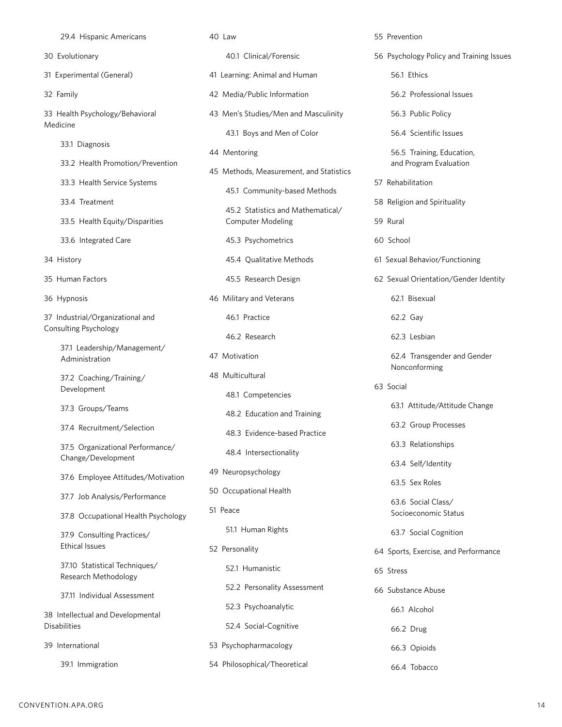29.4 Hispanic Americans 30 Evolutionary 31 Experimental (General) 32 Family 33 Health Psychology/Behavioral Medicine 33.1 Diagnosis 33.2 Health Promotion/Prevention 33.3 Health Service Systems 33.4 Treatment 33.5 Health Equity/Disparities 33.6 Integrated Care 34 History 35 Human Factors 36 Hypnosis 37 Industrial/Organizational and Consulting Psychology 37.1 Leadership/Management/ Administration 37.2 Coaching/Training/ Development 37.3 Groups/Teams 37.4 Recruitment/Selection 37.5 Organizational Performance/ Change/Development 37.6 Employee Attitudes/Motivation 37.7 Job Analysis/Performance 37.8 Occupational Health Psychology 37.9 Consulting Practices/ Ethical Issues 37.10 Statistical Techniques/ Research Methodology 37.11 Individual Assessment 38 Intellectual and Developmental Disabilities 40 Law 40.1 Clinical/Forensic 41 Learning: Animal and Human 42 Media/Public Information 43 Men's Studies/Men and Masculinity 43.1 Boys and Men of Color 44 Mentoring 45 Methods, Measurement, and Statistics 45.1 Community-based Methods 45.2 Statistics and Mathematical/ Computer Modeling 45.3 Psychometrics 45.4 Qualitative Methods 45.5 Research Design 46 Military and Veterans 46.1 Practice 46.2 Research 47 Motivation 48 Multicultural 48.1 Competencies 48.2 Education and Training 48.3 Evidence-based Practice 48.4 Intersectionality 49 Neuropsychology 50 Occupational Health 51 Peace 51.1 Human Rights 52 Personality 52.1 Humanistic 52.2 Personality Assessment 52.3 Psychoanalytic 52.4 Social-Cognitive 55 Prevention 56 Psychology Policy and Training Issues 56.1 Ethics 56.2 Professional Issues 56.3 Public Policy 56.4 Scientific Issues 56.5 Training, Education, and Program Evaluation 57 Rehabilitation 58 Religion and Spirituality 59 Rural 60 School 61 Sexual Behavior/Functioning 62 Sexual Orientation/Gender Identity 62.1 Bisexual 62.2 Gay 62.3 Lesbian 62.4 Transgender and Gender Nonconforming 63 Social 63.1 Attitude/Attitude Change 63.2 Group Processes 63.3 Relationships 63.4 Self/Identity 63.5 Sex Roles 63.6 Social Class/ Socioeconomic Status 63.7 Social Cognition 64 Sports, Exercise, and Performance 65 Stress 66 Substance Abuse 66.1 Alcohol 66.2 Drug

53 Psychopharmacology

54 Philosophical/Theoretical

39 International

39.1 Immigration

66.3 Opioids

66.4 Tobacco